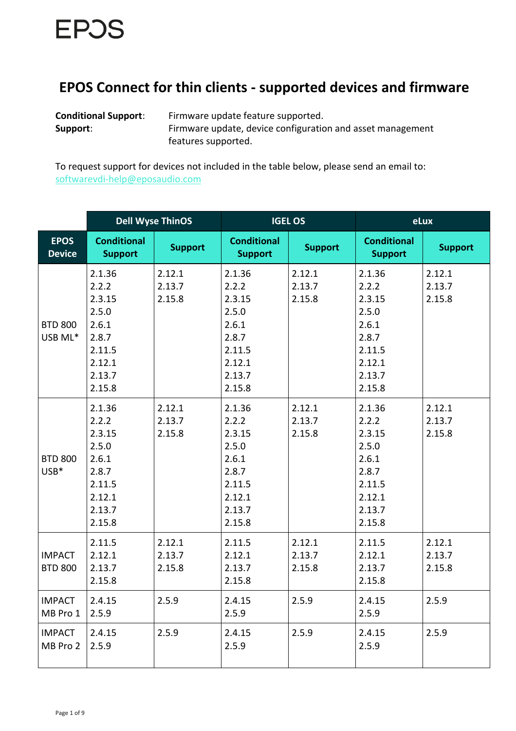## **EPOS Connect for thin clients - supported devices and firmware**

**Conditional Support**: Firmware update feature supported. **Support:** Firmware update, device configuration and asset management features supported.

To request support for devices not included in the table below, please send an email to: [softwarevdi-help@eposaudio.com](mailto:softwarevdi-help@eposaudio.com)

|                                 | <b>Dell Wyse ThinOS</b>                                                                      |                            | <b>IGEL OS</b>                                                                               |                            | eLux                                                                                         |                            |
|---------------------------------|----------------------------------------------------------------------------------------------|----------------------------|----------------------------------------------------------------------------------------------|----------------------------|----------------------------------------------------------------------------------------------|----------------------------|
| <b>EPOS</b><br><b>Device</b>    | <b>Conditional</b><br><b>Support</b>                                                         | <b>Support</b>             | <b>Conditional</b><br><b>Support</b>                                                         | <b>Support</b>             | <b>Conditional</b><br><b>Support</b>                                                         | <b>Support</b>             |
| <b>BTD 800</b><br>USB ML*       | 2.1.36<br>2.2.2<br>2.3.15<br>2.5.0<br>2.6.1<br>2.8.7<br>2.11.5<br>2.12.1<br>2.13.7<br>2.15.8 | 2.12.1<br>2.13.7<br>2.15.8 | 2.1.36<br>2.2.2<br>2.3.15<br>2.5.0<br>2.6.1<br>2.8.7<br>2.11.5<br>2.12.1<br>2.13.7<br>2.15.8 | 2.12.1<br>2.13.7<br>2.15.8 | 2.1.36<br>2.2.2<br>2.3.15<br>2.5.0<br>2.6.1<br>2.8.7<br>2.11.5<br>2.12.1<br>2.13.7<br>2.15.8 | 2.12.1<br>2.13.7<br>2.15.8 |
| <b>BTD 800</b><br>USB*          | 2.1.36<br>2.2.2<br>2.3.15<br>2.5.0<br>2.6.1<br>2.8.7<br>2.11.5<br>2.12.1<br>2.13.7<br>2.15.8 | 2.12.1<br>2.13.7<br>2.15.8 | 2.1.36<br>2.2.2<br>2.3.15<br>2.5.0<br>2.6.1<br>2.8.7<br>2.11.5<br>2.12.1<br>2.13.7<br>2.15.8 | 2.12.1<br>2.13.7<br>2.15.8 | 2.1.36<br>2.2.2<br>2.3.15<br>2.5.0<br>2.6.1<br>2.8.7<br>2.11.5<br>2.12.1<br>2.13.7<br>2.15.8 | 2.12.1<br>2.13.7<br>2.15.8 |
| <b>IMPACT</b><br><b>BTD 800</b> | 2.11.5<br>2.12.1<br>2.13.7<br>2.15.8                                                         | 2.12.1<br>2.13.7<br>2.15.8 | 2.11.5<br>2.12.1<br>2.13.7<br>2.15.8                                                         | 2.12.1<br>2.13.7<br>2.15.8 | 2.11.5<br>2.12.1<br>2.13.7<br>2.15.8                                                         | 2.12.1<br>2.13.7<br>2.15.8 |
| <b>IMPACT</b><br>MB Pro 1       | 2.4.15<br>2.5.9                                                                              | 2.5.9                      | 2.4.15<br>2.5.9                                                                              | 2.5.9                      | 2.4.15<br>2.5.9                                                                              | 2.5.9                      |
| <b>IMPACT</b><br>MB Pro 2       | 2.4.15<br>2.5.9                                                                              | 2.5.9                      | 2.4.15<br>2.5.9                                                                              | 2.5.9                      | 2.4.15<br>2.5.9                                                                              | 2.5.9                      |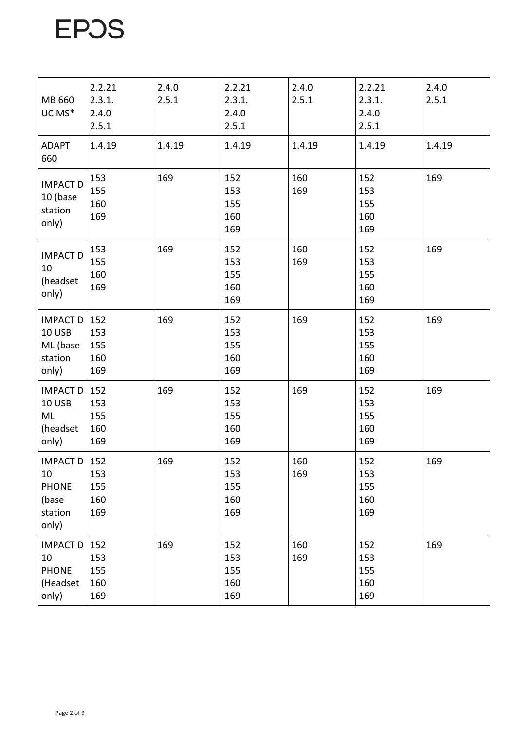| MB 660<br>UC MS*                                                   | 2.2.21<br>2.3.1.<br>2.4.0<br>2.5.1 | 2.4.0<br>2.5.1 | 2.2.21<br>2.3.1.<br>2.4.0<br>2.5.1 | 2.4.0<br>2.5.1 | 2.2.21<br>2.3.1.<br>2.4.0<br>2.5.1 | 2.4.0<br>2.5.1 |
|--------------------------------------------------------------------|------------------------------------|----------------|------------------------------------|----------------|------------------------------------|----------------|
| <b>ADAPT</b><br>660                                                | 1.4.19                             | 1.4.19         | 1.4.19                             | 1.4.19         | 1.4.19                             | 1.4.19         |
| <b>IMPACT D</b><br>10 (base<br>station<br>only)                    | 153<br>155<br>160<br>169           | 169            | 152<br>153<br>155<br>160<br>169    | 160<br>169     | 152<br>153<br>155<br>160<br>169    | 169            |
| <b>IMPACT D</b><br>10<br>(headset<br>only)                         | 153<br>155<br>160<br>169           | 169            | 152<br>153<br>155<br>160<br>169    | 160<br>169     | 152<br>153<br>155<br>160<br>169    | 169            |
| <b>IMPACT D</b><br>10 USB<br>ML (base<br>station<br>only)          | 152<br>153<br>155<br>160<br>169    | 169            | 152<br>153<br>155<br>160<br>169    | 169            | 152<br>153<br>155<br>160<br>169    | 169            |
| <b>IMPACT D</b><br>10 USB<br>ML<br>(headset<br>only)               | 152<br>153<br>155<br>160<br>169    | 169            | 152<br>153<br>155<br>160<br>169    | 169            | 152<br>153<br>155<br>160<br>169    | 169            |
| <b>IMPACT D</b><br>10<br><b>PHONE</b><br>(base<br>station<br>only) | 152<br>153<br>155<br>160<br>169    | 169            | 152<br>153<br>155<br>160<br>169    | 160<br>169     | 152<br>153<br>155<br>160<br>169    | 169            |
| <b>IMPACT D</b><br>10<br><b>PHONE</b><br>(Headset<br>only)         | 152<br>153<br>155<br>160<br>169    | 169            | 152<br>153<br>155<br>160<br>169    | 160<br>169     | 152<br>153<br>155<br>160<br>169    | 169            |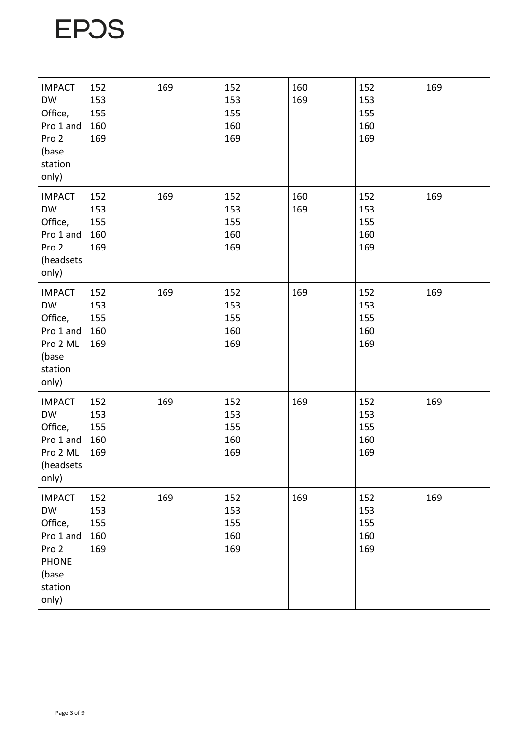| <b>IMPACT</b><br><b>DW</b><br>Office,<br>Pro 1 and<br>Pro 2<br>(base<br>station<br>only)                 | 152<br>153<br>155<br>160<br>169 | 169 | 152<br>153<br>155<br>160<br>169 | 160<br>169 | 152<br>153<br>155<br>160<br>169 | 169 |
|----------------------------------------------------------------------------------------------------------|---------------------------------|-----|---------------------------------|------------|---------------------------------|-----|
| <b>IMPACT</b><br><b>DW</b><br>Office,<br>Pro 1 and<br>Pro 2<br>(headsets<br>only)                        | 152<br>153<br>155<br>160<br>169 | 169 | 152<br>153<br>155<br>160<br>169 | 160<br>169 | 152<br>153<br>155<br>160<br>169 | 169 |
| <b>IMPACT</b><br><b>DW</b><br>Office,<br>Pro 1 and<br>Pro 2 ML<br>(base<br>station<br>only)              | 152<br>153<br>155<br>160<br>169 | 169 | 152<br>153<br>155<br>160<br>169 | 169        | 152<br>153<br>155<br>160<br>169 | 169 |
| <b>IMPACT</b><br><b>DW</b><br>Office,<br>Pro 1 and<br>Pro 2 ML<br>(headsets<br>only)                     | 152<br>153<br>155<br>160<br>169 | 169 | 152<br>153<br>155<br>160<br>169 | 169        | 152<br>153<br>155<br>160<br>169 | 169 |
| <b>IMPACT</b><br><b>DW</b><br>Office,<br>Pro 1 and<br>Pro 2<br><b>PHONE</b><br>(base<br>station<br>only) | 152<br>153<br>155<br>160<br>169 | 169 | 152<br>153<br>155<br>160<br>169 | 169        | 152<br>153<br>155<br>160<br>169 | 169 |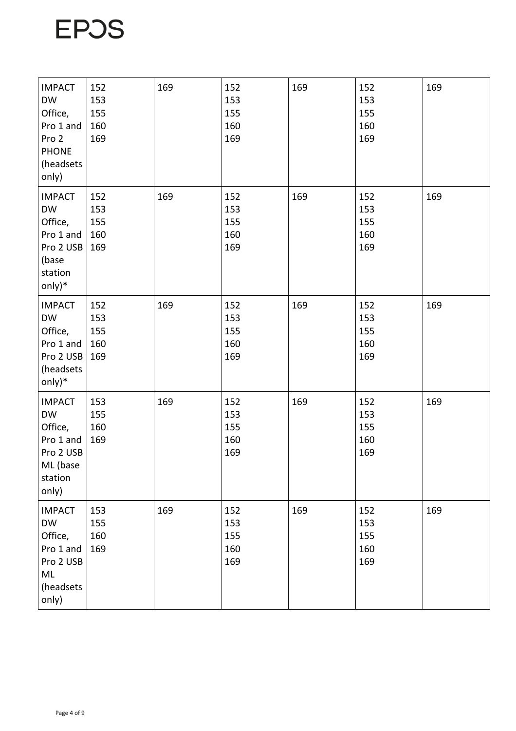| <b>IMPACT</b><br><b>DW</b><br>Office,<br>Pro 1 and<br>Pro 2<br><b>PHONE</b><br>(headsets<br>only) | 152<br>153<br>155<br>160<br>169 | 169 | 152<br>153<br>155<br>160<br>169 | 169 | 152<br>153<br>155<br>160<br>169 | 169 |
|---------------------------------------------------------------------------------------------------|---------------------------------|-----|---------------------------------|-----|---------------------------------|-----|
| <b>IMPACT</b><br><b>DW</b><br>Office,<br>Pro 1 and<br>Pro 2 USB<br>(base<br>station<br>only)*     | 152<br>153<br>155<br>160<br>169 | 169 | 152<br>153<br>155<br>160<br>169 | 169 | 152<br>153<br>155<br>160<br>169 | 169 |
| <b>IMPACT</b><br><b>DW</b><br>Office,<br>Pro 1 and<br>Pro 2 USB<br>(headsets<br>only)*            | 152<br>153<br>155<br>160<br>169 | 169 | 152<br>153<br>155<br>160<br>169 | 169 | 152<br>153<br>155<br>160<br>169 | 169 |
| <b>IMPACT</b><br><b>DW</b><br>Office,<br>Pro 1 and<br>Pro 2 USB<br>ML (base<br>station<br>only)   | 153<br>155<br>160<br>169        | 169 | 152<br>153<br>155<br>160<br>169 | 169 | 152<br>153<br>155<br>160<br>169 | 169 |
| <b>IMPACT</b><br><b>DW</b><br>Office,<br>Pro 1 and<br>Pro 2 USB<br>ML<br>(headsets<br>only)       | 153<br>155<br>160<br>169        | 169 | 152<br>153<br>155<br>160<br>169 | 169 | 152<br>153<br>155<br>160<br>169 | 169 |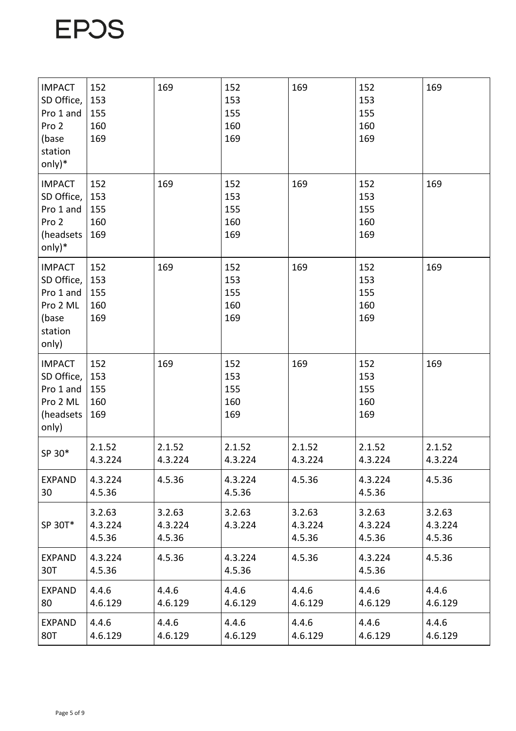| <b>IMPACT</b><br>SD Office,<br>Pro 1 and<br>Pro 2<br>(base<br>station<br>$only)*$ | 152<br>153<br>155<br>160<br>169 | 169                         | 152<br>153<br>155<br>160<br>169 | 169                         | 152<br>153<br>155<br>160<br>169 | 169                         |
|-----------------------------------------------------------------------------------|---------------------------------|-----------------------------|---------------------------------|-----------------------------|---------------------------------|-----------------------------|
| <b>IMPACT</b><br>SD Office,<br>Pro 1 and<br>Pro 2<br>(headsets<br>only $)*$       | 152<br>153<br>155<br>160<br>169 | 169                         | 152<br>153<br>155<br>160<br>169 | 169                         | 152<br>153<br>155<br>160<br>169 | 169                         |
| <b>IMPACT</b><br>SD Office,<br>Pro 1 and<br>Pro 2 ML<br>(base<br>station<br>only) | 152<br>153<br>155<br>160<br>169 | 169                         | 152<br>153<br>155<br>160<br>169 | 169                         | 152<br>153<br>155<br>160<br>169 | 169                         |
| <b>IMPACT</b><br>SD Office,<br>Pro 1 and<br>Pro 2 ML<br>(headsets<br>only)        | 152<br>153<br>155<br>160<br>169 | 169                         | 152<br>153<br>155<br>160<br>169 | 169                         | 152<br>153<br>155<br>160<br>169 | 169                         |
| SP 30*                                                                            | 2.1.52<br>4.3.224               | 2.1.52<br>4.3.224           | 2.1.52<br>4.3.224               | 2.1.52<br>4.3.224           | 2.1.52<br>4.3.224               | 2.1.52<br>4.3.224           |
| <b>EXPAND</b><br>30                                                               | 4.3.224<br>4.5.36               | 4.5.36                      | 4.3.224<br>4.5.36               | 4.5.36                      | 4.3.224<br>4.5.36               | 4.5.36                      |
| SP 30T*                                                                           | 3.2.63<br>4.3.224<br>4.5.36     | 3.2.63<br>4.3.224<br>4.5.36 | 3.2.63<br>4.3.224               | 3.2.63<br>4.3.224<br>4.5.36 | 3.2.63<br>4.3.224<br>4.5.36     | 3.2.63<br>4.3.224<br>4.5.36 |
| <b>EXPAND</b><br>30T                                                              | 4.3.224<br>4.5.36               | 4.5.36                      | 4.3.224<br>4.5.36               | 4.5.36                      | 4.3.224<br>4.5.36               | 4.5.36                      |
| <b>EXPAND</b><br>80                                                               | 4.4.6<br>4.6.129                | 4.4.6<br>4.6.129            | 4.4.6<br>4.6.129                | 4.4.6<br>4.6.129            | 4.4.6<br>4.6.129                | 4.4.6<br>4.6.129            |
| <b>EXPAND</b><br>80T                                                              | 4.4.6<br>4.6.129                | 4.4.6<br>4.6.129            | 4.4.6<br>4.6.129                | 4.4.6<br>4.6.129            | 4.4.6<br>4.6.129                | 4.4.6<br>4.6.129            |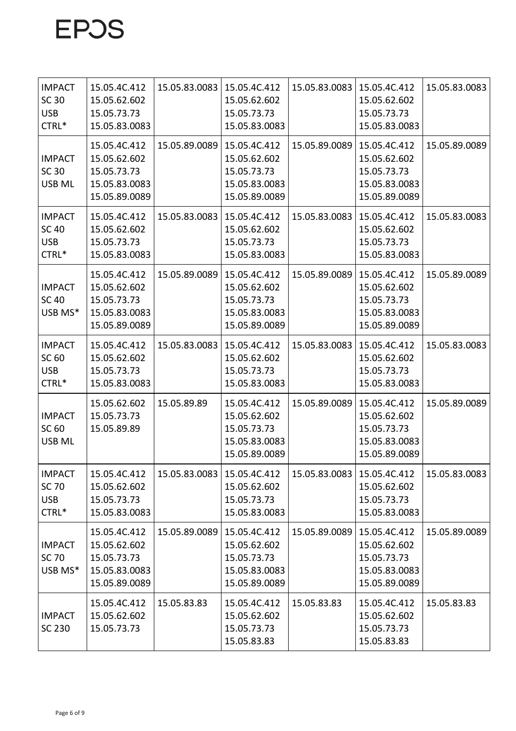| <b>IMPACT</b><br><b>SC 30</b><br><b>USB</b><br>CTRL* | 15.05.4C.412<br>15.05.62.602<br>15.05.73.73<br>15.05.83.0083                  | 15.05.83.0083 | 15.05.4C.412<br>15.05.62.602<br>15.05.73.73<br>15.05.83.0083                  | 15.05.83.0083 | 15.05.4C.412<br>15.05.62.602<br>15.05.73.73<br>15.05.83.0083                  | 15.05.83.0083 |
|------------------------------------------------------|-------------------------------------------------------------------------------|---------------|-------------------------------------------------------------------------------|---------------|-------------------------------------------------------------------------------|---------------|
| <b>IMPACT</b><br><b>SC 30</b><br><b>USB ML</b>       | 15.05.4C.412<br>15.05.62.602<br>15.05.73.73<br>15.05.83.0083<br>15.05.89.0089 | 15.05.89.0089 | 15.05.4C.412<br>15.05.62.602<br>15.05.73.73<br>15.05.83.0083<br>15.05.89.0089 | 15.05.89.0089 | 15.05.4C.412<br>15.05.62.602<br>15.05.73.73<br>15.05.83.0083<br>15.05.89.0089 | 15.05.89.0089 |
| <b>IMPACT</b><br><b>SC 40</b><br><b>USB</b><br>CTRL* | 15.05.4C.412<br>15.05.62.602<br>15.05.73.73<br>15.05.83.0083                  | 15.05.83.0083 | 15.05.4C.412<br>15.05.62.602<br>15.05.73.73<br>15.05.83.0083                  | 15.05.83.0083 | 15.05.4C.412<br>15.05.62.602<br>15.05.73.73<br>15.05.83.0083                  | 15.05.83.0083 |
| <b>IMPACT</b><br><b>SC 40</b><br>USB MS*             | 15.05.4C.412<br>15.05.62.602<br>15.05.73.73<br>15.05.83.0083<br>15.05.89.0089 | 15.05.89.0089 | 15.05.4C.412<br>15.05.62.602<br>15.05.73.73<br>15.05.83.0083<br>15.05.89.0089 | 15.05.89.0089 | 15.05.4C.412<br>15.05.62.602<br>15.05.73.73<br>15.05.83.0083<br>15.05.89.0089 | 15.05.89.0089 |
| <b>IMPACT</b><br>SC 60<br><b>USB</b><br>CTRL*        | 15.05.4C.412<br>15.05.62.602<br>15.05.73.73<br>15.05.83.0083                  | 15.05.83.0083 | 15.05.4C.412<br>15.05.62.602<br>15.05.73.73<br>15.05.83.0083                  | 15.05.83.0083 | 15.05.4C.412<br>15.05.62.602<br>15.05.73.73<br>15.05.83.0083                  | 15.05.83.0083 |
| <b>IMPACT</b><br>SC 60<br><b>USB ML</b>              | 15.05.62.602<br>15.05.73.73<br>15.05.89.89                                    | 15.05.89.89   | 15.05.4C.412<br>15.05.62.602<br>15.05.73.73<br>15.05.83.0083<br>15.05.89.0089 | 15.05.89.0089 | 15.05.4C.412<br>15.05.62.602<br>15.05.73.73<br>15.05.83.0083<br>15.05.89.0089 | 15.05.89.0089 |
| <b>IMPACT</b><br>SC 70<br><b>USB</b><br>CTRL*        | 15.05.4C.412<br>15.05.62.602<br>15.05.73.73<br>15.05.83.0083                  | 15.05.83.0083 | 15.05.4C.412<br>15.05.62.602<br>15.05.73.73<br>15.05.83.0083                  | 15.05.83.0083 | 15.05.4C.412<br>15.05.62.602<br>15.05.73.73<br>15.05.83.0083                  | 15.05.83.0083 |
| <b>IMPACT</b><br>SC 70<br>USB MS*                    | 15.05.4C.412<br>15.05.62.602<br>15.05.73.73<br>15.05.83.0083<br>15.05.89.0089 | 15.05.89.0089 | 15.05.4C.412<br>15.05.62.602<br>15.05.73.73<br>15.05.83.0083<br>15.05.89.0089 | 15.05.89.0089 | 15.05.4C.412<br>15.05.62.602<br>15.05.73.73<br>15.05.83.0083<br>15.05.89.0089 | 15.05.89.0089 |
| <b>IMPACT</b><br>SC 230                              | 15.05.4C.412<br>15.05.62.602<br>15.05.73.73                                   | 15.05.83.83   | 15.05.4C.412<br>15.05.62.602<br>15.05.73.73<br>15.05.83.83                    | 15.05.83.83   | 15.05.4C.412<br>15.05.62.602<br>15.05.73.73<br>15.05.83.83                    | 15.05.83.83   |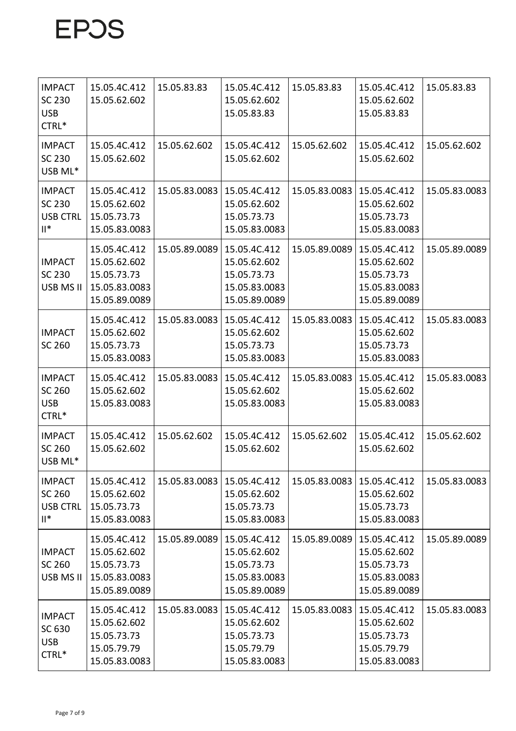| <b>IMPACT</b><br><b>SC 230</b><br><b>USB</b><br>CTRL*         | 15.05.4C.412<br>15.05.62.602                                                  | 15.05.83.83   | 15.05.4C.412<br>15.05.62.602<br>15.05.83.83                                   | 15.05.83.83   | 15.05.4C.412<br>15.05.62.602<br>15.05.83.83                                   | 15.05.83.83   |
|---------------------------------------------------------------|-------------------------------------------------------------------------------|---------------|-------------------------------------------------------------------------------|---------------|-------------------------------------------------------------------------------|---------------|
| <b>IMPACT</b><br><b>SC 230</b><br>USB ML*                     | 15.05.4C.412<br>15.05.62.602                                                  | 15.05.62.602  | 15.05.4C.412<br>15.05.62.602                                                  | 15.05.62.602  | 15.05.4C.412<br>15.05.62.602                                                  | 15.05.62.602  |
| <b>IMPACT</b><br>SC 230<br><b>USB CTRL</b><br>$\mathsf{II}^*$ | 15.05.4C.412<br>15.05.62.602<br>15.05.73.73<br>15.05.83.0083                  | 15.05.83.0083 | 15.05.4C.412<br>15.05.62.602<br>15.05.73.73<br>15.05.83.0083                  | 15.05.83.0083 | 15.05.4C.412<br>15.05.62.602<br>15.05.73.73<br>15.05.83.0083                  | 15.05.83.0083 |
| <b>IMPACT</b><br><b>SC 230</b><br>USB MS II                   | 15.05.4C.412<br>15.05.62.602<br>15.05.73.73<br>15.05.83.0083<br>15.05.89.0089 | 15.05.89.0089 | 15.05.4C.412<br>15.05.62.602<br>15.05.73.73<br>15.05.83.0083<br>15.05.89.0089 | 15.05.89.0089 | 15.05.4C.412<br>15.05.62.602<br>15.05.73.73<br>15.05.83.0083<br>15.05.89.0089 | 15.05.89.0089 |
| <b>IMPACT</b><br>SC 260                                       | 15.05.4C.412<br>15.05.62.602<br>15.05.73.73<br>15.05.83.0083                  | 15.05.83.0083 | 15.05.4C.412<br>15.05.62.602<br>15.05.73.73<br>15.05.83.0083                  | 15.05.83.0083 | 15.05.4C.412<br>15.05.62.602<br>15.05.73.73<br>15.05.83.0083                  | 15.05.83.0083 |
| <b>IMPACT</b><br>SC 260<br><b>USB</b><br>CTRL*                | 15.05.4C.412<br>15.05.62.602<br>15.05.83.0083                                 | 15.05.83.0083 | 15.05.4C.412<br>15.05.62.602<br>15.05.83.0083                                 | 15.05.83.0083 | 15.05.4C.412<br>15.05.62.602<br>15.05.83.0083                                 | 15.05.83.0083 |
| <b>IMPACT</b><br>SC 260<br>USB ML*                            | 15.05.4C.412<br>15.05.62.602                                                  | 15.05.62.602  | 15.05.4C.412<br>15.05.62.602                                                  | 15.05.62.602  | 15.05.4C.412<br>15.05.62.602                                                  | 15.05.62.602  |
| <b>IMPACT</b><br>SC 260<br><b>USB CTRL</b><br>$\mathsf{II}^*$ | 15.05.4C.412<br>15.05.62.602<br>15.05.73.73<br>15.05.83.0083                  | 15.05.83.0083 | 15.05.4C.412<br>15.05.62.602<br>15.05.73.73<br>15.05.83.0083                  | 15.05.83.0083 | 15.05.4C.412<br>15.05.62.602<br>15.05.73.73<br>15.05.83.0083                  | 15.05.83.0083 |
| <b>IMPACT</b><br>SC 260<br>USB MS II                          | 15.05.4C.412<br>15.05.62.602<br>15.05.73.73<br>15.05.83.0083<br>15.05.89.0089 | 15.05.89.0089 | 15.05.4C.412<br>15.05.62.602<br>15.05.73.73<br>15.05.83.0083<br>15.05.89.0089 | 15.05.89.0089 | 15.05.4C.412<br>15.05.62.602<br>15.05.73.73<br>15.05.83.0083<br>15.05.89.0089 | 15.05.89.0089 |
| <b>IMPACT</b><br>SC 630<br><b>USB</b><br>CTRL*                | 15.05.4C.412<br>15.05.62.602<br>15.05.73.73<br>15.05.79.79<br>15.05.83.0083   | 15.05.83.0083 | 15.05.4C.412<br>15.05.62.602<br>15.05.73.73<br>15.05.79.79<br>15.05.83.0083   | 15.05.83.0083 | 15.05.4C.412<br>15.05.62.602<br>15.05.73.73<br>15.05.79.79<br>15.05.83.0083   | 15.05.83.0083 |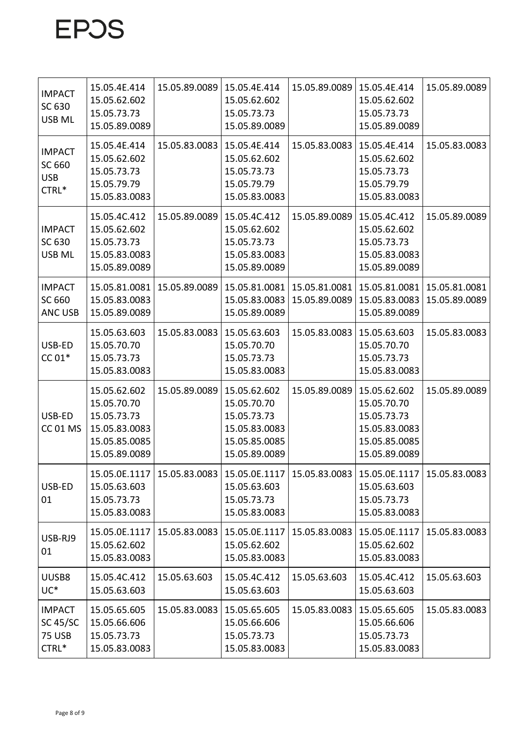| <b>IMPACT</b><br>SC 630<br><b>USB ML</b>                   | 15.05.4E.414<br>15.05.62.602<br>15.05.73.73<br>15.05.89.0089                                  | 15.05.89.0089 | 15.05.4E.414<br>15.05.62.602<br>15.05.73.73<br>15.05.89.0089                                  | 15.05.89.0089                  | 15.05.4E.414<br>15.05.62.602<br>15.05.73.73<br>15.05.89.0089                                  | 15.05.89.0089                  |
|------------------------------------------------------------|-----------------------------------------------------------------------------------------------|---------------|-----------------------------------------------------------------------------------------------|--------------------------------|-----------------------------------------------------------------------------------------------|--------------------------------|
| <b>IMPACT</b><br>SC 660<br><b>USB</b><br>CTRL*             | 15.05.4E.414<br>15.05.62.602<br>15.05.73.73<br>15.05.79.79<br>15.05.83.0083                   | 15.05.83.0083 | 15.05.4E.414<br>15.05.62.602<br>15.05.73.73<br>15.05.79.79<br>15.05.83.0083                   | 15.05.83.0083                  | 15.05.4E.414<br>15.05.62.602<br>15.05.73.73<br>15.05.79.79<br>15.05.83.0083                   | 15.05.83.0083                  |
| <b>IMPACT</b><br>SC 630<br>USB ML                          | 15.05.4C.412<br>15.05.62.602<br>15.05.73.73<br>15.05.83.0083<br>15.05.89.0089                 | 15.05.89.0089 | 15.05.4C.412<br>15.05.62.602<br>15.05.73.73<br>15.05.83.0083<br>15.05.89.0089                 | 15.05.89.0089                  | 15.05.4C.412<br>15.05.62.602<br>15.05.73.73<br>15.05.83.0083<br>15.05.89.0089                 | 15.05.89.0089                  |
| <b>IMPACT</b><br>SC 660<br><b>ANC USB</b>                  | 15.05.81.0081<br>15.05.83.0083<br>15.05.89.0089                                               | 15.05.89.0089 | 15.05.81.0081<br>15.05.83.0083<br>15.05.89.0089                                               | 15.05.81.0081<br>15.05.89.0089 | 15.05.81.0081<br>15.05.83.0083<br>15.05.89.0089                                               | 15.05.81.0081<br>15.05.89.0089 |
| USB-ED<br>$CC 01*$                                         | 15.05.63.603<br>15.05.70.70<br>15.05.73.73<br>15.05.83.0083                                   | 15.05.83.0083 | 15.05.63.603<br>15.05.70.70<br>15.05.73.73<br>15.05.83.0083                                   | 15.05.83.0083                  | 15.05.63.603<br>15.05.70.70<br>15.05.73.73<br>15.05.83.0083                                   | 15.05.83.0083                  |
| USB-ED<br><b>CC 01 MS</b>                                  | 15.05.62.602<br>15.05.70.70<br>15.05.73.73<br>15.05.83.0083<br>15.05.85.0085<br>15.05.89.0089 | 15.05.89.0089 | 15.05.62.602<br>15.05.70.70<br>15.05.73.73<br>15.05.83.0083<br>15.05.85.0085<br>15.05.89.0089 | 15.05.89.0089                  | 15.05.62.602<br>15.05.70.70<br>15.05.73.73<br>15.05.83.0083<br>15.05.85.0085<br>15.05.89.0089 | 15.05.89.0089                  |
| USB-ED<br>01                                               | 15.05.0E.1117<br>15.05.63.603<br>15.05.73.73<br>15.05.83.0083                                 | 15.05.83.0083 | 15.05.0E.1117<br>15.05.63.603<br>15.05.73.73<br>15.05.83.0083                                 | 15.05.83.0083                  | 15.05.0E.1117<br>15.05.63.603<br>15.05.73.73<br>15.05.83.0083                                 | 15.05.83.0083                  |
| USB-RJ9<br>01                                              | 15.05.0E.1117<br>15.05.62.602<br>15.05.83.0083                                                | 15.05.83.0083 | 15.05.0E.1117<br>15.05.62.602<br>15.05.83.0083                                                | 15.05.83.0083                  | 15.05.0E.1117<br>15.05.62.602<br>15.05.83.0083                                                | 15.05.83.0083                  |
| UUSB8<br>UC <sup>*</sup>                                   | 15.05.4C.412<br>15.05.63.603                                                                  | 15.05.63.603  | 15.05.4C.412<br>15.05.63.603                                                                  | 15.05.63.603                   | 15.05.4C.412<br>15.05.63.603                                                                  | 15.05.63.603                   |
| <b>IMPACT</b><br><b>SC 45/SC</b><br><b>75 USB</b><br>CTRL* | 15.05.65.605<br>15.05.66.606<br>15.05.73.73<br>15.05.83.0083                                  | 15.05.83.0083 | 15.05.65.605<br>15.05.66.606<br>15.05.73.73<br>15.05.83.0083                                  | 15.05.83.0083                  | 15.05.65.605<br>15.05.66.606<br>15.05.73.73<br>15.05.83.0083                                  | 15.05.83.0083                  |